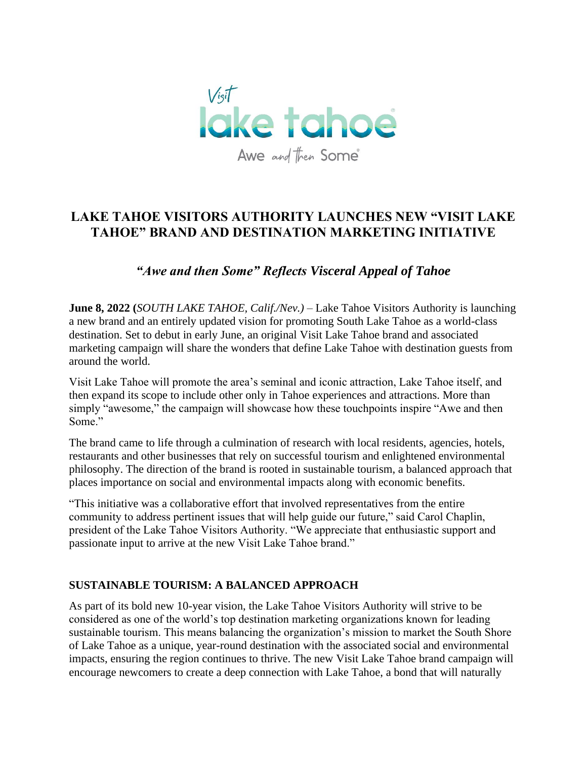

# **LAKE TAHOE VISITORS AUTHORITY LAUNCHES NEW "VISIT LAKE TAHOE" BRAND AND DESTINATION MARKETING INITIATIVE**

## *"Awe and then Some" Reflects Visceral Appeal of Tahoe*

**June 8, 2022 (***SOUTH LAKE TAHOE, Calif./Nev.)* – Lake Tahoe Visitors Authority is launching a new brand and an entirely updated vision for promoting South Lake Tahoe as a world-class destination. Set to debut in early June, an original Visit Lake Tahoe brand and associated marketing campaign will share the wonders that define Lake Tahoe with destination guests from around the world.

Visit Lake Tahoe will promote the area's seminal and iconic attraction, Lake Tahoe itself, and then expand its scope to include other only in Tahoe experiences and attractions. More than simply "awesome," the campaign will showcase how these touch points inspire "Awe and then Some."

The brand came to life through a culmination of research with local residents, agencies, hotels, restaurants and other businesses that rely on successful tourism and enlightened environmental philosophy. The direction of the brand is rooted in sustainable tourism, a balanced approach that places importance on social and environmental impacts along with economic benefits.

"This initiative was a collaborative effort that involved representatives from the entire community to address pertinent issues that will help guide our future," said Carol Chaplin, president of the Lake Tahoe Visitors Authority. "We appreciate that enthusiastic support and passionate input to arrive at the new Visit Lake Tahoe brand."

### **SUSTAINABLE TOURISM: A BALANCED APPROACH**

As part of its bold new 10-year vision, the Lake Tahoe Visitors Authority will strive to be considered as one of the world's top destination marketing organizations known for leading sustainable tourism. This means balancing the organization's mission to market the South Shore of Lake Tahoe as a unique, year-round destination with the associated social and environmental impacts, ensuring the region continues to thrive. The new Visit Lake Tahoe brand campaign will encourage newcomers to create a deep connection with Lake Tahoe, a bond that will naturally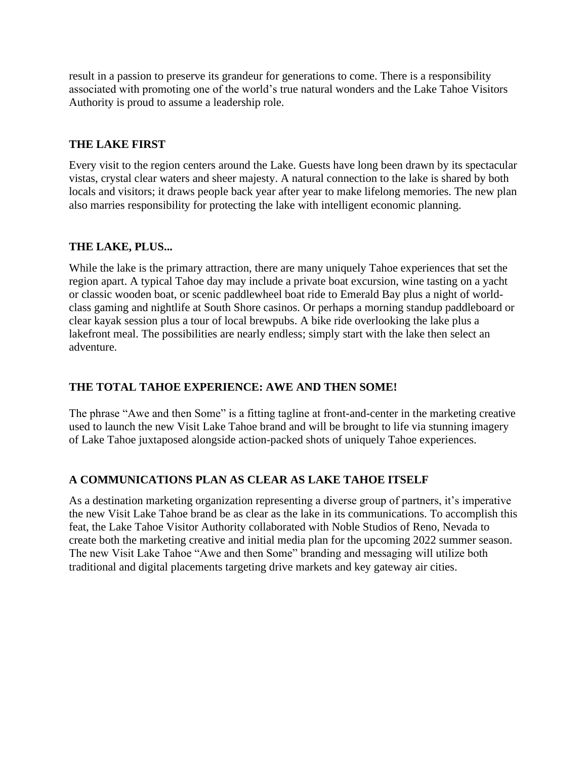result in a passion to preserve its grandeur for generations to come. There is a responsibility associated with promoting one of the world's true natural wonders and the Lake Tahoe Visitors Authority is proud to assume a leadership role.

## **THE LAKE FIRST**

Every visit to the region centers around the Lake. Guests have long been drawn by its spectacular vistas, crystal clear waters and sheer majesty. A natural connection to the lake is shared by both locals and visitors; it draws people back year after year to make lifelong memories. The new plan also marries responsibility for protecting the lake with intelligent economic planning.

#### **THE LAKE, PLUS...**

While the lake is the primary attraction, there are many uniquely Tahoe experiences that set the region apart. A typical Tahoe day may include a private boat excursion, wine tasting on a yacht or classic wooden boat, or scenic paddlewheel boat ride to Emerald Bay plus a night of worldclass gaming and nightlife at South Shore casinos. Or perhaps a morning standup paddleboard or clear kayak session plus a tour of local brewpubs. A bike ride overlooking the lake plus a lakefront meal. The possibilities are nearly endless; simply start with the lake then select an adventure.

### **THE TOTAL TAHOE EXPERIENCE: AWE AND THEN SOME!**

The phrase "Awe and then Some" is a fitting tagline at front-and-center in the marketing creative used to launch the new Visit Lake Tahoe brand and will be brought to life via stunning imagery of Lake Tahoe juxtaposed alongside action-packed shots of uniquely Tahoe experiences.

### **A COMMUNICATIONS PLAN AS CLEAR AS LAKE TAHOE ITSELF**

As a destination marketing organization representing a diverse group of partners, it's imperative the new Visit Lake Tahoe brand be as clear as the lake in its communications. To accomplish this feat, the Lake Tahoe Visitor Authority collaborated with Noble Studios of Reno, Nevada to create both the marketing creative and initial media plan for the upcoming 2022 summer season. The new Visit Lake Tahoe "Awe and then Some" branding and messaging will utilize both traditional and digital placements targeting drive markets and key gateway air cities.